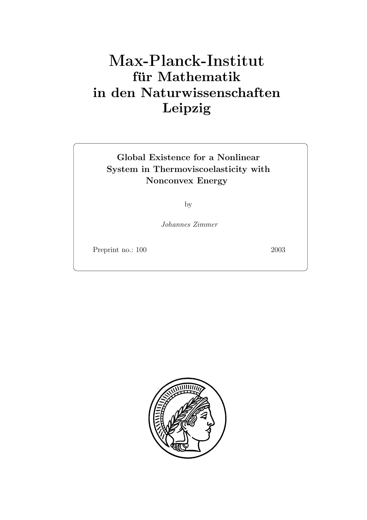# **für Mathematik in den Naturwissenschaften Leipzig**

## **Global Existence for a Nonlinear**  $S_{\text{S}}$  Separator Energy **Nonconvex Energy**

by

*Johannes Zimmer*

Preprint no.: 100 2003

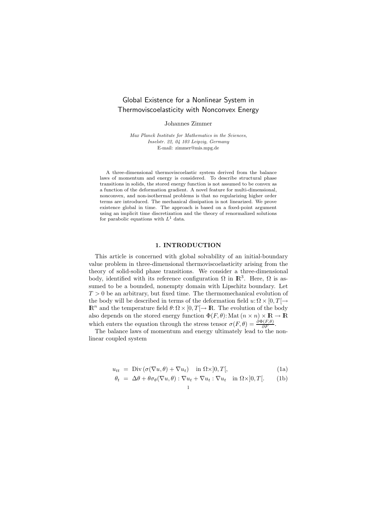### Grobal Existence for a Nonmiton System in Thermoviscoelasticity with Nonconvex Energy

Johannes Zimmer

*Max Planck Institute for Mathematics in the Sciences, Inselstr. 22, 04 103 Leipzig, Germany* E-mail: zimmer@mis.mpg.de

A three-dimensional thermoviscoelastic system derived from the balance laws of momentum and energy is considered. To describe structural phase transitions in solids, the stored energy function is not assumed to be convex as a function of the deformation gradient. A novel feature for multi-dimensional, nonconvex, and non-isothermal problems is that no regularizing higher order terms are introduced. The mechanical dissipation is not linearized. We prove existence global in time. The approach is based on a fixed-point argument using an implicit time discretization and the theory of renormalized solutions for parabolic equations with  $L^1$  data.

#### **1. INTRODUCTION**

This article is concerned with global solvability of an initial-boundary value problem in three-dimensional thermoviscoelasticity arising from the theory of solid-solid phase transitions. We consider a three-dimensional body, identified with its reference configuration  $\Omega$  in  $\mathbb{R}^3$ . Here,  $\Omega$  is assumed to be a bounded, nonempty domain with Lipschitz boundary. Let  $T > 0$  be an arbitrary, but fixed time. The thermomechanical evolution of the body will be described in terms of the deformation field  $u: \Omega \times [0, T] \rightarrow$  $\mathbb{R}^n$  and the temperature field  $\theta: \Omega \times [0, T] \to \mathbb{R}$ . The evolution of the body also depends on the stored energy function  $\Phi(F, \theta)$ : Mat  $(n \times n) \times \mathbb{R} \to \mathbb{R}$ which enters the equation through the stress tensor  $\sigma(F, \theta) = \frac{\partial \Phi(F, \theta)}{\partial F}$ .<br>The balance laws of momentum and energy ultimately lead to the

The balance laws of momentum and energy ultimately lead to the nonlinear coupled system

$$
u_{tt} = \text{Div}\left(\sigma(\nabla u, \theta) + \nabla u_t\right) \quad \text{in } \Omega \times ]0, T[, \tag{1a}
$$

$$
\theta_t = \Delta \theta + \theta \sigma_\theta (\nabla u, \theta) : \nabla u_t + \nabla u_t : \nabla u_t \quad \text{in } \Omega \times ]0, T[.
$$
 (1b)

$$
1 \\
$$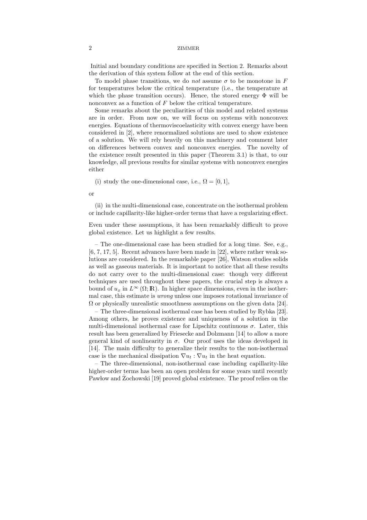Initial and boundary conditions are specified in Section 2. Remarks about the derivation of this system follow at the end of this section.

To model phase transitions, we do *not* assume  $\sigma$  to be monotone in F for temperatures below the critical temperature (i.e., the temperature at which the phase transition occurs). Hence, the stored energy  $\Phi$  will be nonconvex as a function of F below the critical temperature.

Some remarks about the peculiarities of this model and related systems are in order. From now on, we will focus on systems with nonconvex energies. Equations of thermoviscoelasticity with convex energy have been considered in [2], where renormalized solutions are used to show existence of a solution. We will rely heavily on this machinery and comment later on differences between convex and nonconvex energies. The novelty of the existence result presented in this paper (Theorem 3.1) is that, to our knowledge, all previous results for similar systems with nonconvex energies either

(i) study the one-dimensional case, i.e.,  $\Omega = [0, 1]$ ,

or

(ii) in the multi-dimensional case, concentrate on the isothermal problem or include capillarity-like higher-order terms that have a regularizing effect.

Even under these assumptions, it has been remarkably difficult to prove global existence. Let us highlight a few results.

– The one-dimensional case has been studied for a long time. See, e.g., [6, 7, 17, 5]. Recent advances have been made in [22], where rather weak solutions are considered. In the remarkable paper [26], Watson studies solids as well as gaseous materials. It is important to notice that all these results do not carry over to the multi-dimensional case: though very different techniques are used throughout these papers, the crucial step is always a bound of  $u_x$  in  $L^{\infty}(\Omega;\mathbb{R})$ . In higher space dimensions, even in the isothermal case, this estimate is *wrong* unless one imposes rotational invariance of  $\Omega$  or physically unrealistic smoothness assumptions on the given data [24].

– The three-dimensional isothermal case has been studied by Rybka [23]. Among others, he proves existence and uniqueness of a solution in the multi-dimensional isothermal case for Lipschitz continuous  $\sigma$ . Later, this result has been generalized by Friesecke and Dolzmann [14] to allow a more general kind of nonlinearity in  $\sigma$ . Our proof uses the ideas developed in [14]. The main difficulty to generalize their results to the non-isothermal case is the mechanical dissipation  $\nabla u_t : \nabla u_t$  in the heat equation.

– The three-dimensional, non-isothermal case including capillarity-like higher-order terms has been an open problem for some years until recently Pawlow and Zochowski [19] proved global existence. The proof relies on the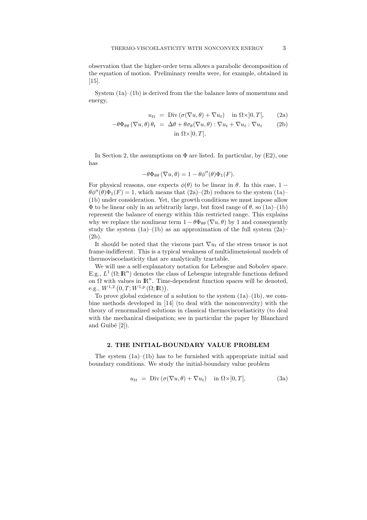observation that the higher-order term allows a parabolic decomposition of the equation of motion. Preliminary results were, for example, obtained in [15].

System (1a)–(1b) is derived from the the balance laws of momentum and energy,

$$
u_{tt} = \text{Div}(\sigma(\nabla u, \theta) + \nabla u_t) \quad \text{in } \Omega \times ]0, T[, \qquad (2a)
$$

$$
-\theta \Phi_{\theta\theta} (\nabla u, \theta) \theta_t = \Delta \theta + \theta \sigma_{\theta} (\nabla u, \theta) : \nabla u_t + \nabla u_t : \nabla u_t \qquad (2b)
$$

in 
$$
\Omega \times ]0, T[
$$
.

In Section 2, the assumptions on  $\Phi$  are listed. In particular, by (E2), one has

$$
-\theta\Phi_{\theta\theta}\left(\nabla u,\theta\right)=1-\theta\phi''(\theta)\Phi_1(F).
$$

For physical reasons, one expects  $\phi(\theta)$  to be linear in  $\theta$ . In this case, 1 −  $\theta \phi''(\theta) \Phi_1(F) = 1$ , which means that  $(2a)$ – $(2b)$  reduces to the system  $(1a)$ – $(1b)$  under consideration. Net, the growth conditions we must impose allow (1b) under consideration. Yet, the growth conditions we must impose allow  $\Phi$  to be linear only in an arbitrarily large, but fixed range of  $\theta$ , so  $(1a)$ – $(1b)$ represent the balance of energy within this restricted range. This explains why we replace the nonlinear term  $1 - \theta \Phi_{\theta\theta} (\nabla u, \theta)$  by 1 and consequently study the system  $(1a)$ – $(1b)$  as an approximation of the full system  $(2a)$ – (2b).

It should be noted that the viscous part  $\nabla u_t$  of the stress tensor is not frame-indifferent. This is a typical weakness of multidimensional models of thermoviscoelasticity that are analytically tractable.

We will use a self-explanatory notation for Lebesgue and Sobolev space. E.g.,  $L^1(\Omega;\mathbb{R}^n)$  denotes the class of Lebesgue integrable functions defined on  $\Omega$  with values in  $\mathbb{R}^n$ . Time-dependent function spaces will be denoted. e.g.,  $W^{1,2}(0,T;W^{1,p}(\Omega;\mathbb{R})).$ <br>To prove global existence of

To prove global existence of a solution to the system  $(1a)–(1b)$ , we combine methods developed in [14] (to deal with the nonconvexity) with the theory of renormalized solutions in classical thermoviscoelasticity (to deal with the mechanical dissipation; see in particular the paper by Blanchard and Guibé  $[2]$ ).

#### **2. THE INITIAL-BOUNDARY VALUE PROBLEM**

The system (1a)–(1b) has to be furnished with appropriate initial and boundary conditions. We study the initial-boundary value problem

$$
u_{tt} = \text{Div}\left(\sigma(\nabla u, \theta) + \nabla u_t\right) \quad \text{in } \Omega \times ]0, T[, \tag{3a}
$$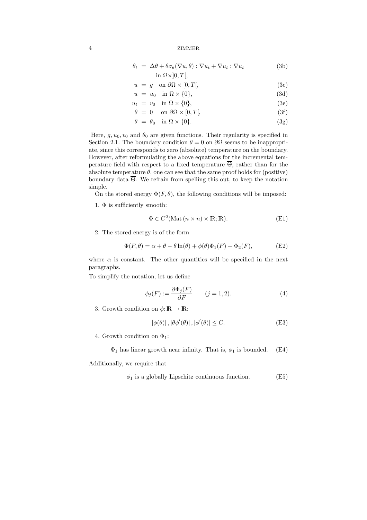$$
\theta_t = \Delta \theta + \theta \sigma_\theta (\nabla u, \theta) : \nabla u_t + \nabla u_t : \nabla u_t \tag{3b}
$$
\n
$$
\text{in } \Omega \times [0, T[,
$$

$$
u = g \quad \text{on } \partial\Omega \times [0, T[, \tag{3c}
$$

$$
u = u_0 \quad \text{in } \Omega \times \{0\},\tag{3d}
$$

$$
u_t = v_0 \quad \text{in } \Omega \times \{0\},\tag{3e}
$$

$$
\theta = 0 \quad \text{on } \partial\Omega \times [0, T[, \tag{3f}
$$

$$
\theta = \theta_0 \quad \text{in } \Omega \times \{0\}. \tag{3g}
$$

Here,  $g, u_0, v_0$  and  $\theta_0$  are given functions. Their regularity is specified in Section 2.1. The boundary condition  $\theta = 0$  on  $\partial\Omega$  seems to be inappropriate, since this corresponds to zero (absolute) temperature on the boundary. However, after reformulating the above equations for the incremental temperature field with respect to a fixed temperature  $\overline{\Theta}$ , rather than for the absolute temperature  $\theta$ , one can see that the same proof holds for (positive) boundary data  $\overline{\Theta}$ . We refrain from spelling this out, to keep the notation simple.

On the stored energy  $\Phi(F, \theta)$ , the following conditions will be imposed:

1.  $\Phi$  is sufficiently smooth:

$$
\Phi \in C^2(\text{Mat}(n \times n) \times \mathbb{R}; \mathbb{R}).
$$
 (E1)

2. The stored energy is of the form

$$
\Phi(F,\theta) = \alpha + \theta - \theta \ln(\theta) + \phi(\theta)\Phi_1(F) + \Phi_2(F),\tag{E2}
$$

where  $\alpha$  is constant. The other quantities will be specified in the next paragraphs.

To simplify the notation, let us define

$$
\phi_j(F) := \frac{\partial \Phi_j(F)}{\partial F} \qquad (j = 1, 2). \tag{4}
$$

3. Growth condition on  $\phi: \mathbb{R} \to \mathbb{R}$ :

$$
|\phi(\theta)|, |\theta \phi'(\theta)|, |\phi'(\theta)| \le C. \tag{E3}
$$

- 4. Growth condition on  $\Phi_1$ :
	- $\Phi_1$  has linear growth near infinity. That is,  $\phi_1$  is bounded. (E4)

Additionally, we require that

$$
\phi_1 \text{ is a globally Lipschitz continuous function.} \tag{E5}
$$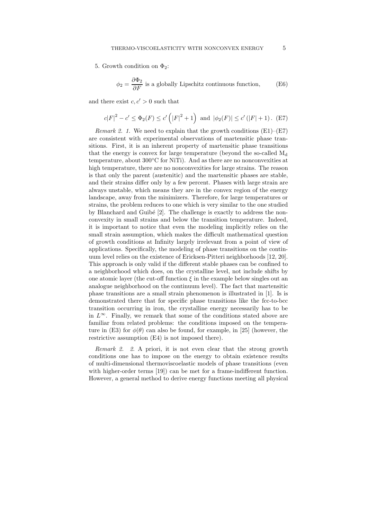5. Growth condition on  $\Phi_2$ :

$$
\phi_2 = \frac{\partial \Phi_2}{\partial F}
$$
 is a globally Lipschitz continuous function, (E6)

and there exist  $c, c' > 0$  such that

$$
c|F|^2 - c' \le \Phi_2(F) \le c' (|F|^2 + 1)
$$
 and  $|\phi_2(F)| \le c' (|F| + 1)$ . (E7)

*Remark 2. 1.* We need to explain that the growth conditions  $(E1)$ – $(E7)$ are consistent with experimental observations of martensitic phase transitions. First, it is an inherent property of martensitic phase transitions that the energy is convex for large temperature (beyond the so-called  $M_d$ temperature, about  $300\textdegree$ C for NiTi). And as there are no nonconvexities at high temperature, there are no nonconvexities for large strains. The reason is that only the parent (austenitic) and the martensitic phases are stable, and their strains differ only by a few percent. Phases with large strain are always unstable, which means they are in the convex region of the energy landscape, away from the minimizers. Therefore, for large temperatures or strains, the problem reduces to one which is very similar to the one studied by Blanchard and Guibé  $[2]$ . The challenge is exactly to address the nonconvexity in small strains and below the transition temperature. Indeed, it is important to notice that even the modeling implicitly relies on the small strain assumption, which makes the difficult mathematical question of growth conditions at Infinity largely irrelevant from a point of view of applications. Specifically, the modeling of phase transitions on the continuum level relies on the existence of Ericksen-Pitteri neighborhoods [12, 20]. This approach is only valid if the different stable phases can be confined to a neighborhood which does, on the crystalline level, not include shifts by one atomic layer (the cut-off function  $\xi$  in the example below singles out an analogue neighborhood on the continuum level). The fact that martensitic phase transitions are a small strain phenomenon is illustrated in [1]. Is is demonstrated there that for specific phase transitions like the fcc-to-bcc transition occurring in iron, the crystalline energy necessarily has to be in  $L^{\infty}$ . Finally, we remark that some of the conditions stated above are familiar from related problems: the conditions imposed on the temperature in (E3) for  $\phi(\theta)$  can also be found, for example, in [25] (however, the restrictive assumption (E4) is not imposed there).

*Remark 2. 2.* A priori, it is not even clear that the strong growth conditions one has to impose on the energy to obtain existence results of multi-dimensional thermoviscoelastic models of phase transitions (even with higher-order terms [19]) can be met for a frame-indifferent function. However, a general method to derive energy functions meeting all physical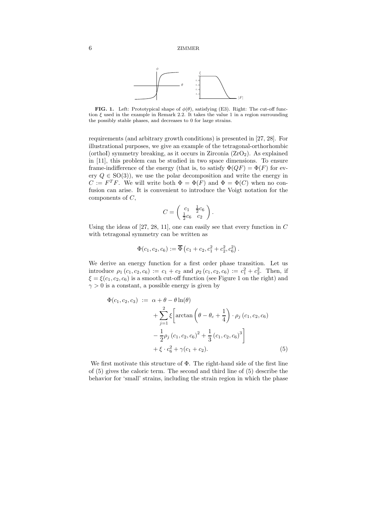

**FIG. 1.** Left: Prototypical shape of  $\phi(\theta)$ , satisfying (E3). Right: The cut-off function  $\xi$  used in the example in Remark 2.2. It takes the value 1 in a region surrounding the possibly stable phases, and decreases to 0 for large strains.

requirements (and arbitrary growth conditions) is presented in [27, 28]. For illustrational purposes, we give an example of the tetragonal-orthorhombic (orthoI) symmetry breaking, as it occurs in Zirconia  $(ZrO<sub>2</sub>)$ . As explained in [11], this problem can be studied in two space dimensions. To ensure frame-indifference of the energy (that is, to satisfy  $\Phi(QF) = \Phi(F)$  for every  $Q \in SO(3)$ , we use the polar decomposition and write the energy in  $C := F^T F$ . We will write both  $\Phi = \Phi(F)$  and  $\Phi = \Phi(C)$  when no confusion can arise. It is convenient to introduce the Voigt notation for the components of C,

$$
C = \left(\begin{array}{cc} c_1 & \frac{1}{2}c_6\\ \frac{1}{2}c_6 & c_2 \end{array}\right)
$$

Using the ideas of [27, 28, 11], one can easily see that every function in C with tetragonal symmetry can be written as

$$
\Phi(c_1, c_2, c_6) := \overline{\Phi}(c_1 + c_2, c_1^2 + c_2^2, c_6^2).
$$

We derive an energy function for a first order phase transition. Let us introduce  $\rho_1(c_1, c_2, c_6) := c_1 + c_2$  and  $\rho_2(c_1, c_2, c_6) := c_1^2 + c_2^2$ . Then, if  $\xi = \xi(c_1, c_2, c_3)$  is a smooth cut-off function (see Figure 1 on the right) and  $\xi = \xi(c_1, c_2, c_6)$  is a smooth cut-off function (see Figure 1 on the right) and  $\gamma > 0$  is a constant, a possible energy is given by

$$
\Phi(c_1, c_2, c_3) := \alpha + \theta - \theta \ln(\theta) \n+ \sum_{j=1}^{2} \xi \left[ \arctan \left( \theta - \theta_c + \frac{1}{4} \right) \cdot \rho_j (c_1, c_2, c_6) - \frac{1}{2} \rho_j (c_1, c_2, c_6)^2 + \frac{1}{3} (c_1, c_2, c_6)^3 \right] \n+ \xi \cdot c_6^2 + \gamma (c_1 + c_2).
$$
\n(5)

We first motivate this structure of Φ. The right-hand side of the first line of (5) gives the caloric term. The second and third line of (5) describe the behavior for 'small' strains, including the strain region in which the phase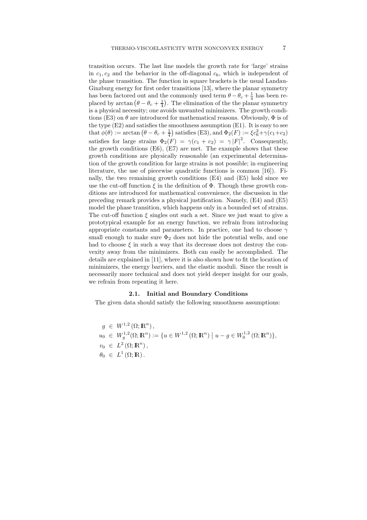transition occurs. The last line models the growth rate for 'large' strains in  $c_1, c_2$  and the behavior in the off-diagonal  $c_6$ , which is independent of the phase transition. The function in square brackets is the usual Landau-Ginzburg energy for first order transitions [13], where the planar symmetry has been factored out and the commonly used term  $\theta - \theta_c + \frac{1}{4}$  has been re-<br>placed by arctan  $(\theta - \theta + \frac{1}{4})$ . The elimination of the the planar symmetry placed by arctan  $(\theta - \theta_c + \frac{1}{4})$ . The elimination of the the planar symmetry is a physical necessity; one avoids unwanted minimizers. The growth conditions (E3) on  $\theta$  are introduced for mathematical reasons. Obviously,  $\Phi$  is of the type (E2) and satisfies the smoothness assumption (E1). It is easy to see that  $\phi(\theta) := \arctan (\theta - \theta_c + \frac{1}{4})$  satisfies (E3), and  $\Phi_2(F) := \xi c_6^2 + \gamma (c_1 + c_2)$ satisfies for large strains  $\Phi_2(F) = \gamma(c_1 + c_2) = \gamma |F|^2$ . Consequently, the growth conditions  $(E6)$ ,  $(E7)$  are met. The example shows that these growth conditions are physically reasonable (an experimental determination of the growth condition for large strains is not possible; in engineering literature, the use of piecewise quadratic functions is common [16]). Finally, the two remaining growth conditions (E4) and (E5) hold since we use the cut-off function  $\xi$  in the definition of  $\Phi$ . Though these growth conditions are introduced for mathematical convenience, the discussion in the preceding remark provides a physical justification. Namely, (E4) and (E5) model the phase transition, which happens only in a bounded set of strains. The cut-off function  $\xi$  singles out such a set. Since we just want to give a prototypical example for an energy function, we refrain from introducing appropriate constants and parameters. In practice, one had to choose  $\gamma$ small enough to make sure  $\Phi_2$  does not hide the potential wells, and one had to choose  $\xi$  in such a way that its decrease does not destroy the convexity away from the minimizers. Both can easily be accomplished. The details are explained in [11], where it is also shown how to fit the location of minimizers, the energy barriers, and the elastic moduli. Since the result is necessarily more technical and does not yield deeper insight for our goals, we refrain from repeating it here.

#### **2.1. Initial and Boundary Conditions**

The given data should satisfy the following smoothness assumptions:

 $g \in W^{1,2}(\Omega; \mathbb{R}^n),$  $u_0 \in W_g^{1,2}(\Omega; \mathbb{R}^n) := \{u \in W^{1,2}(\Omega; \mathbb{R}^n) \mid$  $u - g \in W_0^{1,2} (\Omega; \mathbb{R}^n) \},$  $v_0 \in L^2(\Omega; \mathbb{R}^n)$ ,  $\theta_0 \in L^1(\Omega;\mathbb{R})$ .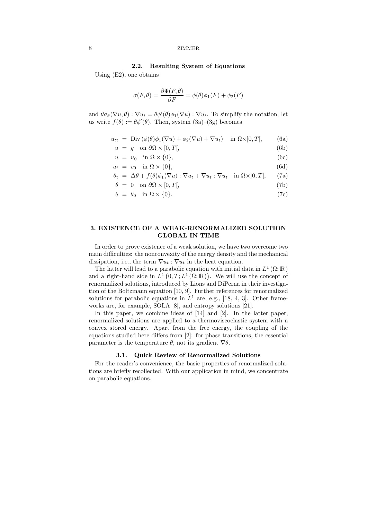#### **2.2. Resulting System of Equations**

Using (E2), one obtains

$$
\sigma(F,\theta) = \frac{\partial \Phi(F,\theta)}{\partial F} = \phi(\theta)\phi_1(F) + \phi_2(F)
$$

and  $\theta \sigma_{\theta}(\nabla u, \theta) : \nabla u_t = \theta \phi'(\theta) \phi_1(\nabla u) : \nabla u_t$ . To simplify the notation, let us write  $f(\theta) := \theta \phi'(\theta)$ . Then, system  $(3a)-(3g)$  becomes

$$
u_{tt} = \text{Div}\left(\phi(\theta)\phi_1(\nabla u) + \phi_2(\nabla u) + \nabla u_t\right) \quad \text{in } \Omega \times ]0, T[, \tag{6a}
$$

 $u = g \text{ on } \partial\Omega \times [0, T],$  (6b)

$$
u = u_0 \quad \text{in } \Omega \times \{0\},\tag{6c}
$$

$$
u_t = v_0 \quad \text{in } \Omega \times \{0\},\tag{6d}
$$

$$
\theta_t = \Delta \theta + f(\theta)\phi_1(\nabla u) : \nabla u_t + \nabla u_t : \nabla u_t \quad \text{in } \Omega \times ]0, T[, \tag{7a}
$$

$$
\theta = 0 \quad \text{on } \partial\Omega \times [0, T[, \tag{7b}
$$

$$
\theta = \theta_0 \quad \text{in } \Omega \times \{0\}. \tag{7c}
$$

#### **3. EXISTENCE OF A WEAK-RENORMALIZED SOLUTION GLOBAL IN TIME**

In order to prove existence of a weak solution, we have two overcome two main difficulties: the nonconvexity of the energy density and the mechanical dissipation, i.e., the term  $\nabla u_t : \nabla u_t$  in the heat equation.

The latter will lead to a parabolic equation with initial data in  $L^1(\Omega;\mathbb{R})$ and a right-hand side in  $\hat{L}^1(0,T;L^1(\Omega;\mathbb{R}))$ . We will use the concept of renormalized solutions, introduced by Lions and DiPerna in their investigarenormalized solutions, introduced by Lions and DiPerna in their investigation of the Boltzmann equation [10, 9]. Further references for renormalized solutions for parabolic equations in  $L^1$  are, e.g., [18, 4, 3]. Other frameworks are, for example, SOLA [8], and entropy solutions [21].

In this paper, we combine ideas of [14] and [2]. In the latter paper, renormalized solutions are applied to a thermoviscoelastic system with a convex stored energy. Apart from the free energy, the coupling of the equations studied here differs from [2]: for phase transitions, the essential parameter is the temperature  $\theta$ , not its gradient  $\nabla \theta$ .

#### **3.1. Quick Review of Renormalized Solutions**

For the reader's convenience, the basic properties of renormalized solutions are briefly recollected. With our application in mind, we concentrate on parabolic equations.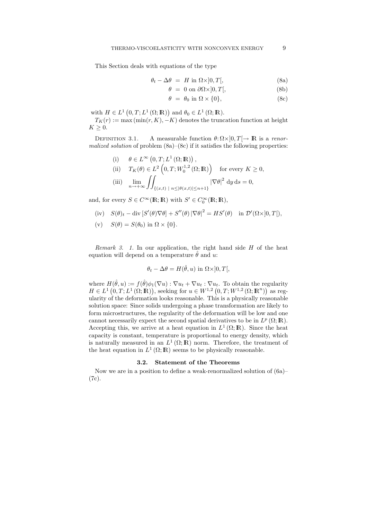This Section deals with equations of the type

$$
\theta_t - \Delta \theta = H \text{ in } \Omega \times ]0, T[, \tag{8a}
$$

$$
\theta = 0 \text{ on } \partial \Omega \times ]0, T[, \tag{8b}
$$

$$
\theta = \theta_0 \text{ in } \Omega \times \{0\},\tag{8c}
$$

with  $H \in L^1(0,T; L^1(\Omega; \mathbb{R}))$  and  $\theta_0 \in L^1(\Omega; \mathbb{R})$ .<br>  $T_{\mathcal{F}}(r) := \max_{\mathbf{X}} (\min(r, K) - K)$  denotes the trunc

 $T_K(r) := \max(\min(r, K), -K)$  denotes the truncation function at height  $K \geq 0$ .<br>Definition 3.1.

DEFINITION 3.1. A measurable function  $θ: Ω×]0, T[→ ℝ]$  is a *renor-malized solution* of problem (8a)–(8c) if it satisfies the following properties:

(i) 
$$
\theta \in L^{\infty}(0, T; L^{1}(\Omega; \mathbb{R}))
$$
,  
\n(ii)  $T_{K}(\theta) \in L^{2}(0, T; W_{0}^{1,2}(\Omega; \mathbb{R}))$  for every  $K \ge 0$ ,  
\n(iii)  $\lim_{n \to +\infty} \iint_{\{(x,t) \mid n \le |\theta(x,t)| \le n+1\}} |\nabla \theta|^{2} dy ds = 0$ ,

and, for every  $S \in C^{\infty}(\mathbb{R}; \mathbb{R})$  with  $S' \in C_0^{\infty}(\mathbb{R}; \mathbb{R})$ ,

$$
(iv) \tS(\theta)_t - \text{div}[S'(\theta)\nabla\theta] + S''(\theta)|\nabla\theta|^2 = HS'(\theta) \text{ in } \mathcal{D}'(\Omega \times ]0,T[),
$$

(v)  $S(\theta) = S(\theta_0)$  in  $\Omega \times \{0\}.$ 

*Remark 3. 1.* In our application, the right hand side H of the heat equation will depend on a temperature  $\hat{\theta}$  and u:

$$
\theta_t - \Delta \theta = H(\hat{\theta}, u) \text{ in } \Omega \times ]0, T[,
$$

where  $H(\hat{\theta}, u) := f(\hat{\theta})\phi_1(\nabla u) : \nabla u_t + \nabla u_t : \nabla u_t$ . To obtain the regularity  $H \in L^1(0,T;L^1(\Omega;\mathbb{R}))$ , seeking for  $u \in W^{1,2}(0,T;W^{1,2}(\Omega;\mathbb{R}^n))$  as regularity of the deformation looks resconsible. This is a physically reasonable ularity of the deformation looks reasonable. This is a physically reasonable solution space: Since solids undergoing a phase transformation are likely to form microstructures, the regularity of the deformation will be low and one cannot necessarily expect the second spatial derivatives to be in  $L^p(\Omega;\mathbb{R})$ . Accepting this, we arrive at a heat equation in  $L^1(\Omega;\mathbb{R})$ . Since the heat capacity is constant, temperature is proportional to energy density, which is naturally measured in an  $L^1(\Omega;\mathbb{R})$  norm. Therefore, the treatment of the heat equation in  $L^1(\Omega;\mathbb{R})$  seems to be physically reasonable.

#### **3.2. Statement of the Theorems**

Now we are in a position to define a weak-renormalized solution of (6a)– (7c).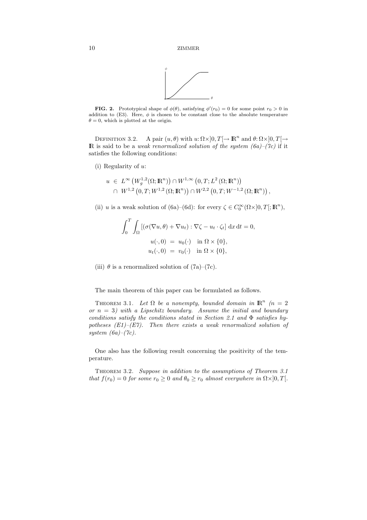

**FIG. 2.** Prototypical shape of  $\phi(\theta)$ , satisfying  $\phi'(r_0) = 0$  for some point  $r_0 > 0$  in addition to (E3). Here,  $\phi$  is chosen to be constant close to the absolute temperature  $\theta = 0$ , which is plotted at the origin.

DEFINITION 3.2. A pair  $(u, \theta)$  with  $u: \Omega \times ]0, T[ \rightarrow \mathbb{R}^n$  and  $\theta: \Omega \times ]0, T[ \rightarrow \mathbb{R}^n]$ **IR** is said to be a *weak renormalized solution of the system*  $(6a)$ *–* $(7c)$  if it satisfies the following conditions:

(i) Regularity of u:

$$
u \in L^{\infty}(W_g^{1,2}(\Omega; \mathbb{R}^n)) \cap W^{1,\infty}(0,T; L^2(\Omega; \mathbb{R}^n))
$$
  

$$
\cap W^{1,2}(0,T; W^{1,2}(\Omega; \mathbb{R}^n)) \cap W^{2,2}(0,T; W^{-1,2}(\Omega; \mathbb{R}^n)),
$$

(ii) u is a weak solution of (6a)–(6d): for every  $\zeta \in C_0^{\infty}(\Omega \times ]0, T[; \mathbb{R}^n)$ ,

$$
\int_0^T \int_{\Omega} \left[ (\sigma(\nabla u, \theta) + \nabla u_t) : \nabla \zeta - u_t \cdot \zeta_t \right] dx dt = 0,
$$
  
\n
$$
u(\cdot, 0) = u_0(\cdot) \quad \text{in } \Omega \times \{0\},
$$
  
\n
$$
u_t(\cdot, 0) = v_0(\cdot) \quad \text{in } \Omega \times \{0\},
$$

(iii)  $\theta$  is a renormalized solution of  $(7a)-(7c)$ .

The main theorem of this paper can be formulated as follows.

THEOREM 3.1. Let  $\Omega$  be a nonempty, bounded domain in  $\mathbb{R}^n$  (n = 2) *or* n = 3*) with a Lipschitz boundary. Assume the initial and boundary conditions satisfy the conditions stated in Section 2.1 and* Φ *satisfies hypotheses (E1)–(E7). Then there exists a weak renormalized solution of system (6a)–(7c).*

One also has the following result concerning the positivity of the temperature.

Theorem 3.2. *Suppose in addition to the assumptions of Theorem 3.1 that*  $f(r_0) = 0$  *for some*  $r_0 \geq 0$  *and*  $\theta_0 \geq r_0$  *almost everywhere in*  $\Omega \times ]0, T[$ *.*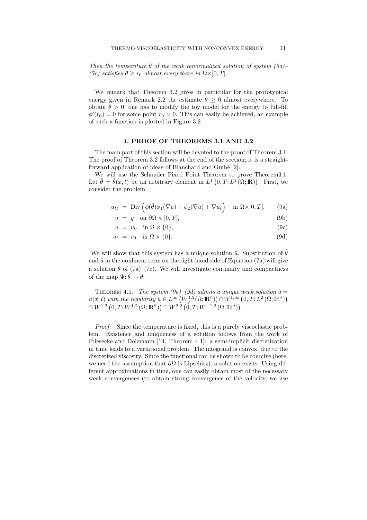*Then the temperature* θ *of the weak renormalized solution of system (6a)– (7c)* satisfies  $\theta \ge r_0$  *almost everywhere in*  $\Omega \times ]0, T[$ *.* 

We remark that Theorem 3.2 gives in particular for the prototypical energy given in Remark 2.2 the estimate  $\theta \geq 0$  almost everywhere. To obtain  $\theta > 0$ , one has to modify the toy model for the energy to full-fill  $\phi'(r_0) = 0$  for some point  $r_0 > 0$ . This can easily be achieved, an example of such a function is plotted in Figure 3.2 of such a function is plotted in Figure 3.2.

#### **4. PROOF OF THEOREMS 3.1 AND 3.2**

The main part of this section will be devoted to the proof of Theorem 3.1. The proof of Theorem 3.2 follows at the end of the section; it is a straightforward application of ideas of Blanchard and Guibé [2].

We will use the Schauder Fixed Point Theorem to prove Theorem3.1. Let  $\hat{\theta} = \hat{\theta}(x, t)$  be an arbitrary element in  $L^1(0, T; L^1(\Omega; \mathbb{R}))$ . First, we consider the problem consider the problem

$$
u_{tt} = \text{Div}\left(\phi(\hat{\theta})\phi_1(\nabla u) + \phi_2(\nabla u) + \nabla u_t\right) \quad \text{in } \Omega \times ]0, T[, \quad (9a)
$$

$$
u = g \quad \text{on } \partial\Omega \times [0, T[, \tag{9b}
$$

$$
u = u_0 \quad \text{in } \Omega \times \{0\},\tag{9c}
$$

$$
u_t = v_0 \quad \text{in } \Omega \times \{0\}. \tag{9d}
$$

We will show that this system has a unique solution  $\hat{u}$ . Substitution of  $\hat{\theta}$ and  $\hat{u}$  in the nonlinear term on the right-hand side of Equation (7a) will give a solution  $\hat{\theta}$  of (7a)–(7c). We will investigate continuity and compactness of the map  $\Psi: \hat{\theta} \to \theta$ .

THEOREM 4.1. *The system (9a)–(9d) admits a unique weak solution*  $\hat{u} =$  $\hat{u}(x, t)$  with the regularity  $\hat{u} \in L^{\infty}((V_3^{1,2}(\Omega; \mathbb{R}^n)) \cap W^{1,\infty}(0, T; L^2(\Omega; \mathbb{R}^n))$ <br> $\cap W^{1,2}(\Omega; \mathbb{R}^n) \cap W^{2,2}(\Omega; \mathbb{R}^n) \cap W^{-1,2}(\Omega; \mathbb{R}^n)$  $\cap W^{1,2}(0,T;W^{1,2}(\Omega;\mathbb{R}^n)) \cap W^{2,2}(0,T;W^{-1,2}(\Omega;\mathbb{R}^n)).$ 

*Proof.* Since the temperature is fixed, this is a purely viscoelastic problem. Existence and uniqueness of a solution follows from the work of Friesecke and Dolzmann [14, Theorem 4.1]: a semi-implicit discretization in time leads to a variational problem. The integrand is convex, due to the discretized viscosity. Since the functional can be shown to be coercive (here, we need the assumption that  $\partial\Omega$  is Lipschitz), a solution exists. Using different approximations in time, one can easily obtain most of the necessary weak convergences (to obtain strong convergence of the velocity, we use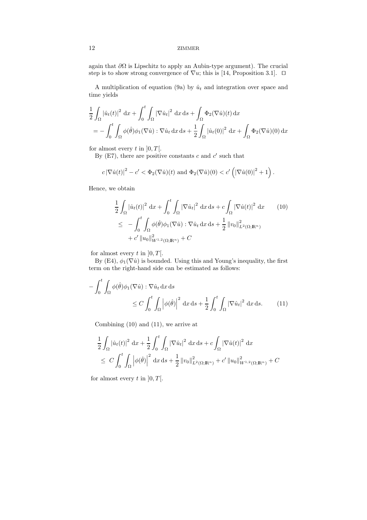again that  $\partial\Omega$  is Lipschitz to apply an Aubin-type argument). The crucial step is to show strong convergence of  $\nabla u$ ; this is [14, Proposition 3.1].  $\square$ 

A multiplication of equation (9a) by  $\hat{u}_t$  and integration over space and time yields

$$
\frac{1}{2} \int_{\Omega} |\hat{u}_t(t)|^2 dx + \int_0^t \int_{\Omega} |\nabla \hat{u}_t|^2 dx ds + \int_{\Omega} \Phi_2(\nabla \hat{u})(t) dx
$$
  
= 
$$
- \int_0^t \int_{\Omega} \phi(\hat{\theta}) \phi_1(\nabla \hat{u}) : \nabla \hat{u}_t dx ds + \frac{1}{2} \int_{\Omega} |\hat{u}_t(0)|^2 dx + \int_{\Omega} \Phi_2(\nabla \hat{u})(0) dx
$$

for almost every t in  $[0, T]$ .

By (E7), there are positive constants  $c$  and  $c'$  such that

$$
c\left|\nabla\hat{u}(t)\right|^2 - c' < \Phi_2(\nabla\hat{u})(t) \text{ and } \Phi_2(\nabla\hat{u})(0) < c'\left(\left|\nabla\hat{u}(0)\right|^2 + 1\right).
$$

Hence, we obtain

$$
\frac{1}{2} \int_{\Omega} |\hat{u}_t(t)|^2 dx + \int_0^t \int_{\Omega} |\nabla \hat{u}_t|^2 dx ds + c \int_{\Omega} |\nabla \hat{u}(t)|^2 dx \qquad (10)
$$
  

$$
\leq - \int_0^t \int_{\Omega} \phi(\hat{\theta}) \phi_1(\nabla \hat{u}) : \nabla \hat{u}_t dx ds + \frac{1}{2} ||v_0||^2_{L^2(\Omega; \mathbb{R}^n)}
$$
  

$$
+ c' ||u_0||^2_{W^{1,2}(\Omega; \mathbb{R}^n)} + C
$$

for almost every  $t$  in  $]0, T[$ .

By (E4),  $\phi_1(\nabla \hat{u})$  is bounded. Using this and Young's inequality, the first term on the right-hand side can be estimated as follows:

$$
-\int_0^t \int_{\Omega} \phi(\hat{\theta}) \phi_1(\nabla \hat{u}) : \nabla \hat{u}_t \, dx \, ds
$$
  
\n
$$
\leq C \int_0^t \int_{\Omega} \left| \phi(\hat{\theta}) \right|^2 \, dx \, ds + \frac{1}{2} \int_0^t \int_{\Omega} |\nabla \hat{u}_t|^2 \, dx \, ds. \tag{11}
$$

Combining (10) and (11), we arrive at

$$
\frac{1}{2} \int_{\Omega} |\hat{u}_t(t)|^2 dx + \frac{1}{2} \int_0^t \int_{\Omega} |\nabla \hat{u}_t|^2 dx ds + c \int_{\Omega} |\nabla \hat{u}(t)|^2 dx
$$
  
\n
$$
\leq C \int_0^t \int_{\Omega} |\phi(\hat{\theta})|^2 dx ds + \frac{1}{2} ||v_0||^2_{L^2(\Omega; \mathbb{R}^n)} + c' ||u_0||^2_{W^{1,2}(\Omega; \mathbb{R}^n)} + C
$$

for almost every  $t$  in  $]0, T[$ .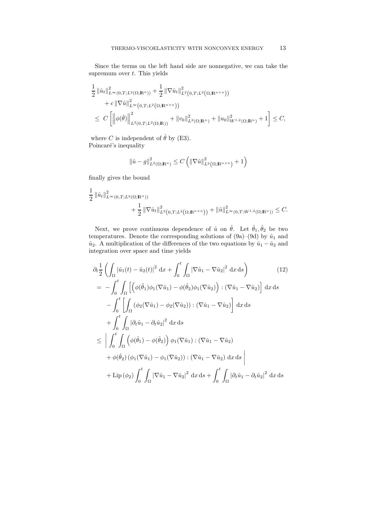Since the terms on the left hand side are nonnegative, we can take the supremum over  $t$ . This yields

$$
\frac{1}{2} ||\hat{u}_t||_{L^{\infty}(0,T;L^2(\Omega;\mathbb{R}^n))}^2 + \frac{1}{2} ||\nabla \hat{u}_t||_{L^2(0,T;L^2(\Omega;\mathbb{R}^{n\times n}))}^2 + c ||\nabla \hat{u}||_{L^{\infty}(0,T;L^2(\Omega;\mathbb{R}^{n\times n}))}^2
$$
\n
$$
\leq C \left[ ||\phi(\hat{\theta})||_{L^2(0,T;L^2(\Omega;\mathbb{R}))}^2 + ||v_0||_{L^2(\Omega;\mathbb{R}^n)}^2 + ||u_0||_{W^{1,2}(\Omega;\mathbb{R}^n)}^2 + 1 \right] \leq C,
$$

where C is independent of  $\hat{\theta}$  by (E3). Poincaré's inequality

$$
\left\|\hat{u} - g\right\|_{L^2(\Omega; \mathbb{R}^n)}^2 \le C\left(\left\|\nabla \hat{u}\right\|_{L^2(\Omega; \mathbb{R}^{n \times n})}^2 + 1\right)
$$

finally gives the bound

$$
\frac{1}{2} \|\hat{u}_t\|_{L^{\infty}(0,T;L^2(\Omega;\mathbb{R}^n))}^2 + \frac{1}{2} \|\nabla \hat{u}_t\|_{L^2(0,T;L^2(\Omega;\mathbb{R}^{n\times n}))}^2 + \|\hat{u}\|_{L^{\infty}(0,T;W^{1,2}(\Omega;\mathbb{R}^n))}^2 \leq C.
$$

Next, we prove continuous dependence of  $\hat{u}$  on  $\hat{\theta}$ . Let  $\hat{\theta}_1, \hat{\theta}_2$  be two temperatures. Denote the corresponding solutions of  $(9a)–(9d)$  by  $\hat{u}_1$  and  $\hat{u}_2$ . A multiplication of the differences of the two equations by  $\hat{u}_1 - \hat{u}_2$  and integration over space and time yields

$$
\partial_t \frac{1}{2} \left( \int_{\Omega} |\hat{u}_1(t) - \hat{u}_2(t)|^2 dx + \int_0^t \int_{\Omega} |\nabla \hat{u}_1 - \nabla \hat{u}_2|^2 dx ds \right) \qquad (12)
$$
  
\n
$$
= - \int_0^t \int_{\Omega} \left[ \left( \phi(\hat{\theta}_1) \phi_1(\nabla \hat{u}_1) - \phi(\hat{\theta}_2) \phi_1(\nabla \hat{u}_2) \right) : (\nabla \hat{u}_1 - \nabla \hat{u}_2) \right] dx ds
$$
  
\n
$$
- \int_0^t \left[ \int_{\Omega} (\phi_2(\nabla \hat{u}_1) - \phi_2(\nabla \hat{u}_2)) : (\nabla \hat{u}_1 - \nabla \hat{u}_2) \right] dx ds
$$
  
\n
$$
+ \int_0^t \int_{\Omega} |\partial_t \hat{u}_1 - \partial_t \hat{u}_2|^2 dx ds
$$
  
\n
$$
\leq \left| \int_0^t \int_{\Omega} \left( \phi(\hat{\theta}_1) - \phi(\hat{\theta}_2) \right) \phi_1(\nabla \hat{u}_1) : (\nabla \hat{u}_1 - \nabla \hat{u}_2)
$$
  
\n
$$
+ \phi(\hat{\theta}_2) (\phi_1(\nabla \hat{u}_1) - \phi_1(\nabla \hat{u}_2)) : (\nabla \hat{u}_1 - \nabla \hat{u}_2) dx ds
$$
  
\n
$$
+ \text{Lip}(\phi_2) \int_0^t \int_{\Omega} |\nabla \hat{u}_1 - \nabla \hat{u}_2|^2 dx ds + \int_0^t \int_{\Omega} |\partial_t \hat{u}_1 - \partial_t \hat{u}_2|^2 dx ds
$$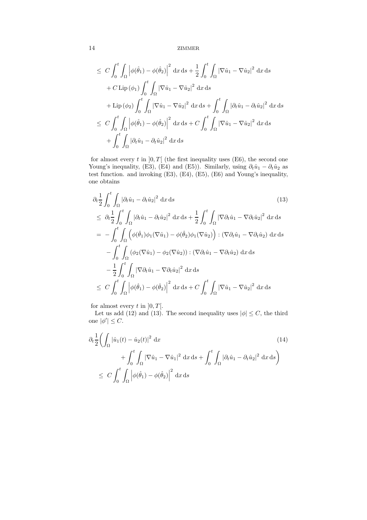$$
\leq C \int_0^t \int_{\Omega} \left| \phi(\hat{\theta}_1) - \phi(\hat{\theta}_2) \right|^2 dx ds + \frac{1}{2} \int_0^t \int_{\Omega} |\nabla \hat{u}_1 - \nabla \hat{u}_2|^2 dx ds
$$
  
+  $C \operatorname{Lip}(\phi_1) \int_0^t \int_{\Omega} |\nabla \hat{u}_1 - \nabla \hat{u}_2|^2 dx ds$   
+  $\operatorname{Lip}(\phi_2) \int_0^t \int_{\Omega} |\nabla \hat{u}_1 - \nabla \hat{u}_2|^2 dx ds + \int_0^t \int_{\Omega} |\partial_t \hat{u}_1 - \partial_t \hat{u}_2|^2 dx ds$   
 $\leq C \int_0^t \int_{\Omega} \left| \phi(\hat{\theta}_1) - \phi(\hat{\theta}_2) \right|^2 dx ds + C \int_0^t \int_{\Omega} |\nabla \hat{u}_1 - \nabla \hat{u}_2|^2 dx ds$   
+  $\int_0^t \int_{\Omega} |\partial_t \hat{u}_1 - \partial_t \hat{u}_2|^2 dx ds$ 

for almost every  $t$  in  $]0, T[$  (the first inequality uses (E6), the second one Young's inequality, (E3), (E4) and (E5)). Similarly, using  $\partial_t \hat{u}_1 - \partial_t \hat{u}_2$  as test function. and invoking (E3), (E4), (E5), (E6) and Young's inequality, one obtains

$$
\partial_t \frac{1}{2} \int_0^t \int_{\Omega} |\partial_t \hat{u}_1 - \partial_t \hat{u}_2|^2 dx ds \qquad (13)
$$
\n
$$
\leq \partial_t \frac{1}{2} \int_0^t \int_{\Omega} |\partial_t \hat{u}_1 - \partial_t \hat{u}_2|^2 dx ds + \frac{1}{2} \int_0^t \int_{\Omega} |\nabla \partial_t \hat{u}_1 - \nabla \partial_t \hat{u}_2|^2 dx ds
$$
\n
$$
= - \int_0^t \int_{\Omega} \left( \phi(\hat{\theta}_1) \phi_1(\nabla \hat{u}_1) - \phi(\hat{\theta}_2) \phi_1(\nabla \hat{u}_2) \right) : (\nabla \partial_t \hat{u}_1 - \nabla \partial_t \hat{u}_2) dx ds
$$
\n
$$
- \int_0^t \int_{\Omega} (\phi_2(\nabla \hat{u}_1) - \phi_2(\nabla \hat{u}_2)) : (\nabla \partial_t \hat{u}_1 - \nabla \partial_t \hat{u}_2) dx ds
$$
\n
$$
- \frac{1}{2} \int_0^t \int_{\Omega} |\nabla \partial_t \hat{u}_1 - \nabla \partial_t \hat{u}_2|^2 dx ds
$$
\n
$$
\leq C \int_0^t \int_{\Omega} |\phi(\hat{\theta}_1) - \phi(\hat{\theta}_2)|^2 dx ds + C \int_0^t \int_{\Omega} |\nabla \hat{u}_1 - \nabla \hat{u}_2|^2 dx ds
$$

for almost every  $t$  in  $]0, T[$ .

Let us add (12) and (13). The second inequality uses  $|\phi| \leq C$ , the third one  $|\phi'| \leq C$ .

$$
\partial_t \frac{1}{2} \left( \int_{\Omega} |\hat{u}_1(t) - \hat{u}_2(t)|^2 dx \right)
$$
\n
$$
+ \int_0^t \int_{\Omega} |\nabla \hat{u}_1 - \nabla \hat{u}_1|^2 dx ds + \int_0^t \int_{\Omega} |\partial_t \hat{u}_1 - \partial_t \hat{u}_2|^2 dx ds \right)
$$
\n
$$
\leq C \int_0^t \int_{\Omega} |\phi(\hat{\theta}_1) - \phi(\hat{\theta}_2)|^2 dx ds
$$
\n(14)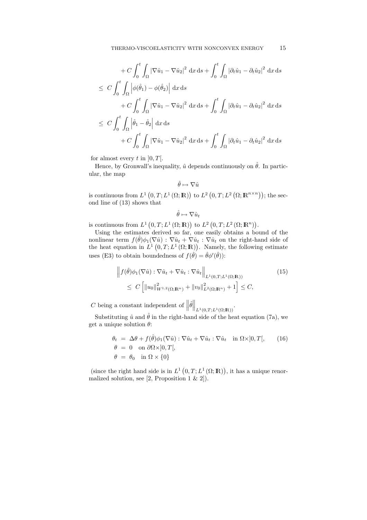$$
+ C \int_0^t \int_{\Omega} |\nabla \hat{u}_1 - \nabla \hat{u}_2|^2 dx ds + \int_0^t \int_{\Omega} |\partial_t \hat{u}_1 - \partial_t \hat{u}_2|^2 dx ds
$$
  

$$
\leq C \int_0^t \int_{\Omega} \left| \phi(\hat{\theta}_1) - \phi(\hat{\theta}_2) \right| dx ds
$$
  

$$
+ C \int_0^t \int_{\Omega} |\nabla \hat{u}_1 - \nabla \hat{u}_2|^2 dx ds + \int_0^t \int_{\Omega} |\partial_t \hat{u}_1 - \partial_t \hat{u}_2|^2 dx ds
$$
  

$$
\leq C \int_0^t \int_{\Omega} \left| \hat{\theta}_1 - \hat{\theta}_2 \right| dx ds
$$
  

$$
+ C \int_0^t \int_{\Omega} |\nabla \hat{u}_1 - \nabla \hat{u}_2|^2 dx ds + \int_0^t \int_{\Omega} |\partial_t \hat{u}_1 - \partial_t \hat{u}_2|^2 dx ds
$$

for almost every t in  $[0, T]$ .

Hence, by Gronwall's inequality,  $\hat{u}$  depends continuously on  $\hat{\theta}$ . In particular, the map

$$
\hat{\theta} \mapsto \nabla \hat{u}
$$

is continuous from  $L^1(0,T; L^1(\Omega;\mathbb{R}))$  to  $L^2(0,T; L^2(\Omega;\mathbb{R}^{n\times n}))$ ; the second line of (13) shows that ond line of (13) shows that

 $\hat{\theta} \mapsto \nabla \hat{u}_t$ 

is continuous from  $L^1(0,T;L^1(\Omega;\mathbb{R}))$  to  $L^2(0,T;L^2(\Omega;\mathbb{R}^n))$ .<br>Using the estimates derived so far, one easily obtains a bo

Using the estimates derived so far, one easily obtains a bound of the nonlinear term  $f(\hat{\theta})\phi_1(\nabla \hat{u})$ :  $\nabla \hat{u}_t + \nabla \hat{u}_t$ :  $\nabla \hat{u}_t$  on the right-hand side of the heat equation in  $L^1(0,T;L^1(\Omega;\mathbb{R}))$ . Namely, the following estimate uses (E3) to obtain boundedness of  $f(\hat{\theta}) = \hat{\theta} \phi'(\hat{\theta})$ ):

$$
\left\| f(\hat{\theta})\phi_1(\nabla \hat{u}) : \nabla \hat{u}_t + \nabla \hat{u}_t : \nabla \hat{u}_t \right\|_{L^1(0,T;L^1(\Omega;\mathbb{R}))}
$$
\n
$$
\leq C \left[ \|u_0\|_{W^{1,2}(\Omega;\mathbb{R}^n)}^2 + \|v_0\|_{L^2(\Omega;\mathbb{R}^n)}^2 + 1 \right] \leq C,
$$
\n(15)

C being a constant independent of  $\|\hat{\theta}\|_{L^1(0,T;L^1(\Omega;\mathbb{R}))}$ .

Substituting  $\hat{u}$  and  $\hat{\theta}$  in the right-hand side of the heat equation (7a), we get a unique solution  $\theta$ :

$$
\theta_t = \Delta\theta + f(\hat{\theta})\phi_1(\nabla\hat{u}) : \nabla\hat{u}_t + \nabla\hat{u}_t : \nabla\hat{u}_t \quad \text{in } \Omega \times ]0, T[, \qquad (16)
$$
  
\n
$$
\theta = 0 \quad \text{on } \partial\Omega \times ]0, T[,
$$
  
\n
$$
\theta = \theta_0 \quad \text{in } \Omega \times \{0\}
$$

(since the right hand side is in  $L^1(0,T; L^1(\Omega;\mathbb{R}))$ , it has a unique renor-<br>nalized solution, see [2, Proposition 1  $\ell_1$ , 2]) malized solution, see  $[2,$  Proposition 1 & 2]).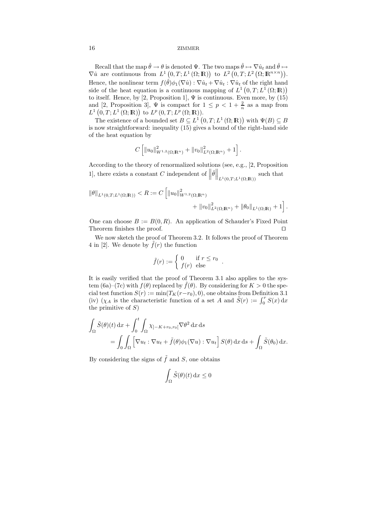Recall that the map  $\hat{\theta} \to \theta$  is denoted  $\Psi$ . The two maps  $\hat{\theta} \mapsto \nabla \hat{u}_t$  and  $\hat{\theta} \mapsto \hat{u}_t$  are continuous from  $L^1(0, T; L^1(0, \mathbb{R}))$  to  $L^2(0, T; L^2(0, \mathbb{R}^{n \times n}))$  $\nabla \hat{u}$  are continuous from  $L^1(0,T;L^1(\Omega;\mathbb{R}))$  to  $L^2(0,T;L^2(\Omega;\mathbb{R}^{n\times n}))$ . Hence, the nonlinear term  $f(\hat{\theta})\phi_1(\nabla \hat{u}) : \nabla \hat{u}_t + \nabla \hat{u}_t : \nabla \hat{u}_t$  of the right hand side of the heat equation is a continuous mapping of  $L^1(0,T; L^1(\Omega;\mathbb{R}))$ <br>to itself. Hence by [2] Proposition 1]. W is continuous. Even more by (15) to itself. Hence, by [2, Proposition 1],  $\Psi$  is continuous. Even more, by (15) and [2, Proposition 3],  $\Psi$  is compact for  $1 \leq p < 1 + \frac{2}{n}$  as a map from  $L^1(0, T; L^1(0, \mathbb{R}))$  to  $L^p(0, T; L^p(0, \mathbb{R}))$  $L^1(0,T;L^1(\Omega;\mathbb{R}))$  to  $L^p(0,T;L^p(\Omega;\mathbb{R})).$ <br>The existence of a bounded set  $B \subset L^1(\Omega;$ 

The existence of a bounded set  $B \subseteq L^1(0,T;L^1(\Omega;\mathbb{R}))$  with  $\Psi(B) \subseteq B$ <br>now straightforward: inequality (15) gives a bound of the right-hand side is now straightforward: inequality (15) gives a bound of the right-hand side of the heat equation by

$$
C\left[\|u_0\|_{W^{1,2}(\Omega;\mathbb{R}^n)}^2 + \|v_0\|_{L^2(\Omega;\mathbb{R}^n)}^2 + 1\right].
$$

According to the theory of renormalized solutions (see, e.g., [2, Proposition 1], there exists a constant C independent of  $\|\hat{\theta}\|_{L^1(0,T;L^1(\Omega;\mathbb{R}))}$  such that

$$
\|\theta\|_{L^1(0,T;L^1(\Omega;\mathbb{R}))} < R := C \left[ \|u_0\|_{W^{1,2}(\Omega;\mathbb{R}^n)}^2 + \|v_0\|_{L^2(\Omega;\mathbb{R}^n)}^2 + \|\theta_0\|_{L^1(\Omega;\mathbb{R})} + 1 \right].
$$

One can choose  $B := B(0, R)$ . An application of Schauder's Fixed Point<br>Theorem finishes the proof Theorem finishes the proof.

We now sketch the proof of Theorem 3.2. It follows the proof of Theorem 4 in [2]. We denote by  $\tilde{f}(r)$  the function

$$
\tilde{f}(r) := \begin{cases} 0 & \text{if } r \le r_0 \\ f(r) & \text{else} \end{cases}.
$$

It is easily verified that the proof of Theorem 3.1 also applies to the system (6a)–(7c) with  $f(\theta)$  replaced by  $f(\theta)$ . By considering for  $K > 0$  the special test function  $S(r) := \min(T_K(r-r_0), 0)$ , one obtains from Definition 3.1 (iv) ( $\chi_A$  is the characteristic function of a set A and  $\tilde{S}(r) := \int_0^r S(x) dx$ <br>the primitive of S) the primitive of  $S$ )

$$
\int_{\Omega} \tilde{S}(\theta)(t) dx + \int_0^t \int_{\Omega} \chi_{]-K + r_0, r_0[} \nabla \theta^2 dx ds
$$
  
= 
$$
\int_0 \int_{\Omega} \left[ \nabla u_t : \nabla u_t + \tilde{f}(\theta) \phi_1(\nabla u) : \nabla u_t \right] S(\theta) dx ds + \int_{\Omega} \tilde{S}(\theta_0) dx.
$$

By considering the signs of  $\tilde{f}$  and S, one obtains

$$
\int_{\Omega} \tilde{S}(\theta)(t) \, \mathrm{d}x \le 0
$$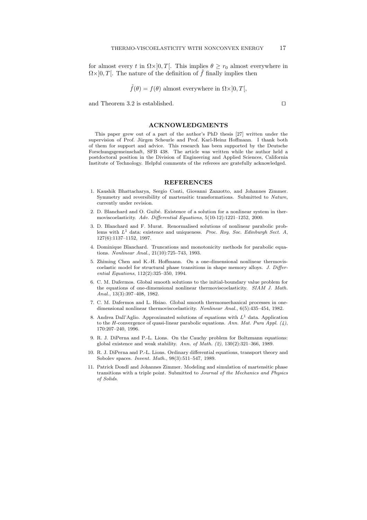for almost every t in  $\Omega \times ]0,T[$ . This implies  $\theta \geq r_0$  almost everywhere in  $\Omega \times ]0, T[$ . The nature of the definition of  $\tilde{f}$  finally implies then

$$
\tilde{f}(\theta) = f(\theta)
$$
 almost everywhere in  $\Omega \times ]0, T[,$ 

and Theorem 3.2 is established.

#### **ACKNOWLEDGMENTS**

This paper grew out of a part of the author's PhD thesis [27] written under the supervision of Prof. Jürgen Scheurle and Prof. Karl-Heinz Hoffmann. I thank both of them for support and advice. This research has been supported by the Deutsche Forschungsgemeinschaft, SFB 438. The article was written while the author held a postdoctoral position in the Division of Engineering and Applied Sciences, California Institute of Technology. Helpful comments of the referees are gratefully acknowledged.

#### **REFERENCES**

- 1. Kaushik Bhattacharya, Sergio Conti, Giovanni Zanzotto, and Johannes Zimmer. Symmetry and reversibility of martensitic transformations. Submitted to Nature, currently under revision.
- 2. D. Blanchard and O. Guibé. Existence of a solution for a nonlinear system in thermoviscoelasticity. Adv. Differential Equations, 5(10-12):1221–1252, 2000.
- 3. D. Blanchard and F. Murat. Renormalised solutions of nonlinear parabolic problems with  $L^1$  data: existence and uniqueness. Proc. Roy. Soc. Edinburgh Sect. A, 127(6):1137–1152, 1997.
- 4. Dominique Blanchard. Truncations and monotonicity methods for parabolic equations. Nonlinear Anal., 21(10):725–743, 1993.
- 5. Zhiming Chen and K.-H. Hoffmann. On a one-dimensional nonlinear thermoviscoelastic model for structural phase transitions in shape memory alloys. J. Differential Equations, 112(2):325–350, 1994.
- 6. C. M. Dafermos. Global smooth solutions to the initial-boundary value problem for the equations of one-dimensional nonlinear thermoviscoelasticity. SIAM J. Math. Anal., 13(3):397–408, 1982.
- 7. C. M. Dafermos and L. Hsiao. Global smooth thermomechanical processes in onedimensional nonlinear thermoviscoelasticity. Nonlinear Anal., 6(5):435–454, 1982.
- 8. Andrea Dall'Aglio. Approximated solutions of equations with  $L<sup>1</sup>$  data. Application to the H-convergence of quasi-linear parabolic equations. Ann. Mat. Pura Appl.  $(4)$ , 170:207–240, 1996.
- 9. R. J. DiPerna and P.-L. Lions. On the Cauchy problem for Boltzmann equations: global existence and weak stability. Ann. of Math. (2), 130(2):321–366, 1989.
- 10. R. J. DiPerna and P.-L. Lions. Ordinary differential equations, transport theory and Sobolev spaces. Invent. Math., 98(3):511–547, 1989.
- 11. Patrick Dondl and Johannes Zimmer. Modeling and simulation of martensitic phase transitions with a triple point. Submitted to Journal of the Mechanics and Physics of Solids.